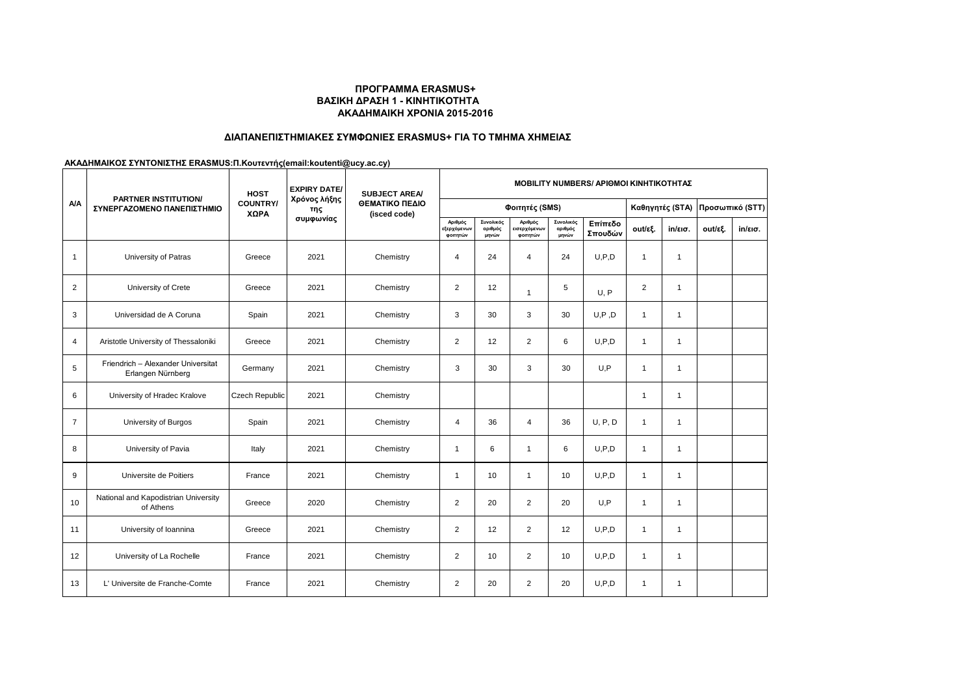## **ΑΚΑΔΗΜΑΙΚΗ ΧΡΟΝΙΑ 2015-2016 ΠΡΟΓΡΑΜΜΑ ERASMUS+ ΒΑΣΙΚΗ ΔΡΑΣΗ 1 - ΚΙΝΗΤΙΚΟΤΗΤΑ**

## **ΔΙΑΠΑΝΕΠΙΣΤΗΜΙΑΚΕΣ ΣΥΜΦΩΝΙΕΣ ERASMUS+ ΓΙΑ ΤΟ ΤΜΗΜΑ ΧΗΜΕΙΑΣ**

**ΑΚΑΔΗΜΑΙΚΟΣ ΣΥΝΤΟΝΙΣΤΗΣ ERASMUS:Π.Κουτεντής(email:koutenti@ucy.ac.cy)**

| NΛ             | <b>PARTNER INSTITUTION/</b><br>ΣΥΝΕΡΓΑΖΟΜΕΝΟ ΠΑΝΕΠΙΣΤΗΜΙΟ | <b>HOST</b><br><b>COUNTRY/</b><br>ΧΩΡΑ | <b>EXPIRY DATE/</b><br>Χρόνος λήξης<br>της<br>συμφωνίας | <b>SUBJECT AREA/</b><br>ΘΕΜΑΤΙΚΟ ΠΕΔΙΟ<br>(isced code) | <b>MOBILITY NUMBERS/ APIOMOI KINHTIKOTHTAZ</b> |                               |                                     |                               |                    |                 |                   |                 |                   |  |
|----------------|-----------------------------------------------------------|----------------------------------------|---------------------------------------------------------|--------------------------------------------------------|------------------------------------------------|-------------------------------|-------------------------------------|-------------------------------|--------------------|-----------------|-------------------|-----------------|-------------------|--|
|                |                                                           |                                        |                                                         |                                                        | Φοιτητές (SMS)                                 |                               |                                     |                               |                    | Καθηγητές (STA) |                   | Προσωπικό (STT) |                   |  |
|                |                                                           |                                        |                                                         |                                                        | Αριθμός<br>εξερχόμενων<br>φοιτητών             | Συνολικός<br>αριθμός<br>μηνών | Αριθμός<br>εισερχόμενων<br>φοιτητών | Συνολικός<br>αριθμός<br>μηνών | Επίπεδο<br>Σπουδών | out/εξ.         | $in/\epsilon$ ισ. | out/εξ.         | $in/\epsilon$ ισ. |  |
| $\mathbf{1}$   | University of Patras                                      | Greece                                 | 2021                                                    | Chemistry                                              | 4                                              | 24                            | $\overline{4}$                      | 24                            | U.P.D              | $\overline{1}$  | $\mathbf{1}$      |                 |                   |  |
| 2              | University of Crete                                       | Greece                                 | 2021                                                    | Chemistry                                              | $\overline{2}$                                 | 12                            | $\mathbf{1}$                        | 5                             | U, P               | 2               | $\mathbf{1}$      |                 |                   |  |
| 3              | Universidad de A Coruna                                   | Spain                                  | 2021                                                    | Chemistry                                              | 3                                              | 30                            | 3                                   | 30                            | U, P, D            | $\mathbf{1}$    | $\mathbf{1}$      |                 |                   |  |
| $\overline{4}$ | Aristotle University of Thessaloniki                      | Greece                                 | 2021                                                    | Chemistry                                              | $\overline{2}$                                 | 12                            | $\overline{2}$                      | 6                             | U.P.D              | $\overline{1}$  | $\mathbf{1}$      |                 |                   |  |
| 5              | Friendrich - Alexander Universitat<br>Erlangen Nürnberg   | Germany                                | 2021                                                    | Chemistry                                              | 3                                              | 30                            | 3                                   | 30                            | U,P                | $\overline{1}$  | $\mathbf{1}$      |                 |                   |  |
| 6              | University of Hradec Kralove                              | Czech Republic                         | 2021                                                    | Chemistry                                              |                                                |                               |                                     |                               |                    | $\overline{1}$  | $\mathbf{1}$      |                 |                   |  |
| $\overline{7}$ | University of Burgos                                      | Spain                                  | 2021                                                    | Chemistry                                              | $\overline{4}$                                 | 36                            | $\overline{4}$                      | 36                            | U, P, D            | $\mathbf{1}$    | $\mathbf{1}$      |                 |                   |  |
| 8              | University of Pavia                                       | Italy                                  | 2021                                                    | Chemistry                                              | $\mathbf{1}$                                   | 6                             | $\overline{1}$                      | 6                             | U.P.D              | $\overline{1}$  | $\mathbf{1}$      |                 |                   |  |
| 9              | Universite de Poitiers                                    | France                                 | 2021                                                    | Chemistry                                              | $\mathbf{1}$                                   | 10                            | $\mathbf{1}$                        | 10                            | U.P.D              | $\overline{1}$  | $\mathbf{1}$      |                 |                   |  |
| 10             | National and Kapodistrian University<br>of Athens         | Greece                                 | 2020                                                    | Chemistry                                              | 2                                              | 20                            | 2                                   | 20                            | U.P                | $\overline{1}$  | $\mathbf{1}$      |                 |                   |  |
| 11             | University of Ioannina                                    | Greece                                 | 2021                                                    | Chemistry                                              | $\overline{2}$                                 | 12                            | $\overline{2}$                      | 12                            | U, P, D            | $\overline{1}$  | $\mathbf{1}$      |                 |                   |  |
| 12             | University of La Rochelle                                 | France                                 | 2021                                                    | Chemistry                                              | $\overline{2}$                                 | 10                            | $\overline{2}$                      | 10                            | U.P.D              | $\mathbf{1}$    | $\mathbf{1}$      |                 |                   |  |
| 13             | L' Universite de Franche-Comte                            | France                                 | 2021                                                    | Chemistry                                              | $\overline{2}$                                 | 20                            | $\overline{2}$                      | 20                            | U.P.D              | $\overline{1}$  | $\mathbf{1}$      |                 |                   |  |